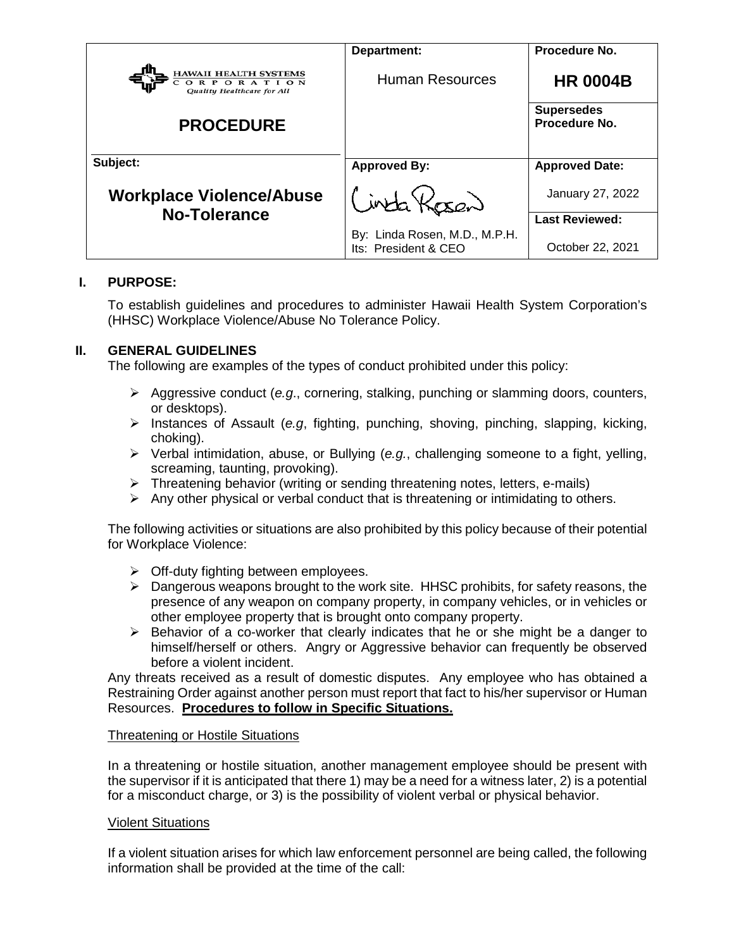|                                                                   | Department:                                           | Procedure No.                      |
|-------------------------------------------------------------------|-------------------------------------------------------|------------------------------------|
| HAWAII HEALTH SYSTEMS<br>ORPORATION<br>Quality Healthcare for All | <b>Human Resources</b>                                | <b>HR 0004B</b>                    |
| <b>PROCEDURE</b>                                                  |                                                       | <b>Supersedes</b><br>Procedure No. |
| Subject:                                                          | <b>Approved By:</b>                                   | <b>Approved Date:</b>              |
| <b>Workplace Violence/Abuse</b>                                   | inta Kosan                                            | January 27, 2022                   |
| <b>No-Tolerance</b>                                               |                                                       | <b>Last Reviewed:</b>              |
|                                                                   | By: Linda Rosen, M.D., M.P.H.<br>Its: President & CEO | October 22, 2021                   |

# **I. PURPOSE:**

To establish guidelines and procedures to administer Hawaii Health System Corporation's (HHSC) Workplace Violence/Abuse No Tolerance Policy.

# **II. GENERAL GUIDELINES**

The following are examples of the types of conduct prohibited under this policy:

- Aggressive conduct (*e.g*., cornering, stalking, punching or slamming doors, counters, or desktops).
- Instances of Assault (*e.g*, fighting, punching, shoving, pinching, slapping, kicking, choking).
- Verbal intimidation, abuse, or Bullying (*e.g.*, challenging someone to a fight, yelling, screaming, taunting, provoking).
- $\triangleright$  Threatening behavior (writing or sending threatening notes, letters, e-mails)
- $\triangleright$  Any other physical or verbal conduct that is threatening or intimidating to others.

The following activities or situations are also prohibited by this policy because of their potential for Workplace Violence:

- $\triangleright$  Off-duty fighting between employees.
- $\triangleright$  Dangerous weapons brought to the work site. HHSC prohibits, for safety reasons, the presence of any weapon on company property, in company vehicles, or in vehicles or other employee property that is brought onto company property.
- $\triangleright$  Behavior of a co-worker that clearly indicates that he or she might be a danger to himself/herself or others. Angry or Aggressive behavior can frequently be observed before a violent incident.

Any threats received as a result of domestic disputes. Any employee who has obtained a Restraining Order against another person must report that fact to his/her supervisor or Human Resources. **Procedures to follow in Specific Situations.**

### Threatening or Hostile Situations

In a threatening or hostile situation, another management employee should be present with the supervisor if it is anticipated that there 1) may be a need for a witness later, 2) is a potential for a misconduct charge, or 3) is the possibility of violent verbal or physical behavior.

### Violent Situations

If a violent situation arises for which law enforcement personnel are being called, the following information shall be provided at the time of the call: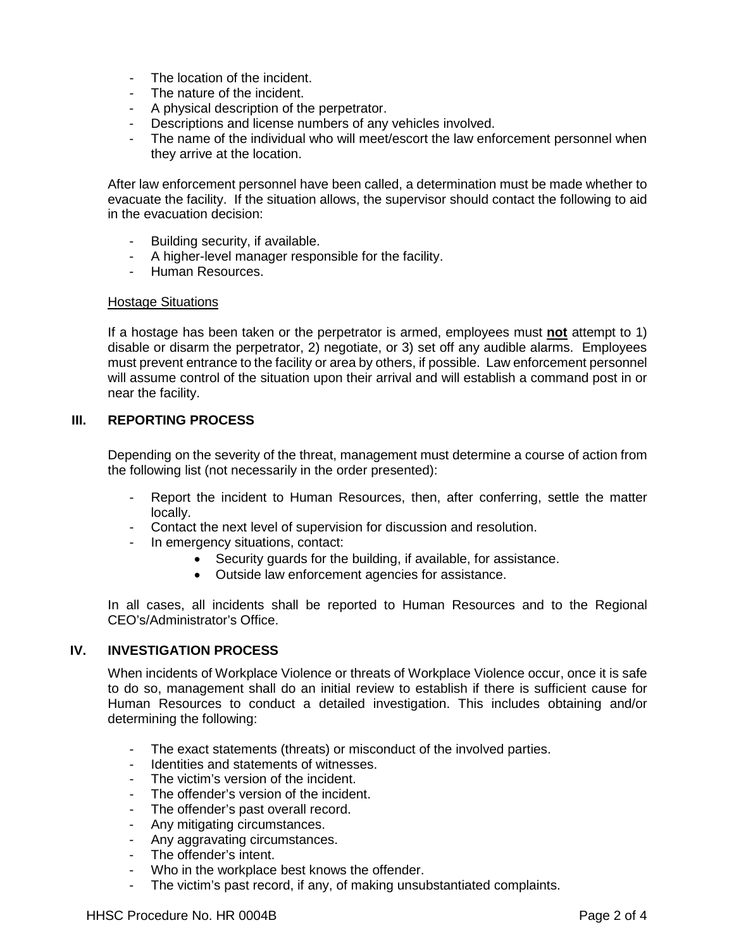- The location of the incident.
- The nature of the incident.
- A physical description of the perpetrator.
- Descriptions and license numbers of any vehicles involved.
- The name of the individual who will meet/escort the law enforcement personnel when they arrive at the location.

After law enforcement personnel have been called, a determination must be made whether to evacuate the facility. If the situation allows, the supervisor should contact the following to aid in the evacuation decision:

- Building security, if available.
- A higher-level manager responsible for the facility.
- Human Resources.

### Hostage Situations

If a hostage has been taken or the perpetrator is armed, employees must **not** attempt to 1) disable or disarm the perpetrator, 2) negotiate, or 3) set off any audible alarms. Employees must prevent entrance to the facility or area by others, if possible. Law enforcement personnel will assume control of the situation upon their arrival and will establish a command post in or near the facility.

### **III. REPORTING PROCESS**

Depending on the severity of the threat, management must determine a course of action from the following list (not necessarily in the order presented):

- Report the incident to Human Resources, then, after conferring, settle the matter locally.
- Contact the next level of supervision for discussion and resolution.
- In emergency situations, contact:
	- Security guards for the building, if available, for assistance.
	- Outside law enforcement agencies for assistance.

In all cases, all incidents shall be reported to Human Resources and to the Regional CEO's/Administrator's Office.

### **IV. INVESTIGATION PROCESS**

When incidents of Workplace Violence or threats of Workplace Violence occur, once it is safe to do so, management shall do an initial review to establish if there is sufficient cause for Human Resources to conduct a detailed investigation. This includes obtaining and/or determining the following:

- The exact statements (threats) or misconduct of the involved parties.
- Identities and statements of witnesses.
- The victim's version of the incident.
- The offender's version of the incident.
- The offender's past overall record.
- Any mitigating circumstances.
- Any aggravating circumstances.
- The offender's intent.
- Who in the workplace best knows the offender.
- The victim's past record, if any, of making unsubstantiated complaints.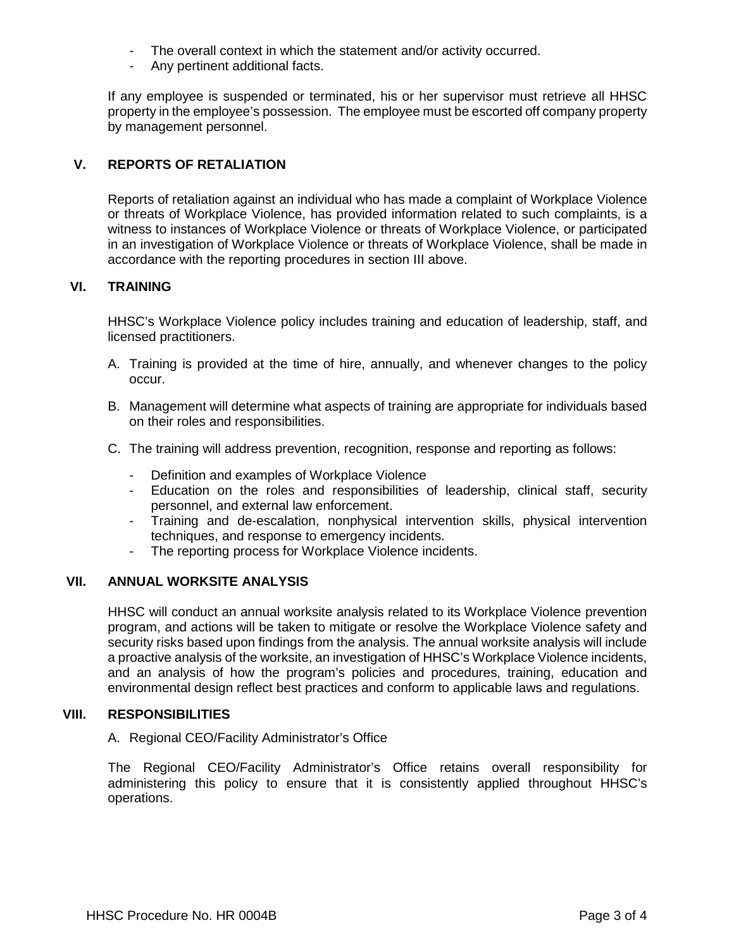- The overall context in which the statement and/or activity occurred.
- Any pertinent additional facts.

If any employee is suspended or terminated, his or her supervisor must retrieve all HHSC property in the employee's possession. The employee must be escorted off company property by management personnel.

# **V. REPORTS OF RETALIATION**

Reports of retaliation against an individual who has made a complaint of Workplace Violence or threats of Workplace Violence, has provided information related to such complaints, is a witness to instances of Workplace Violence or threats of Workplace Violence, or participated in an investigation of Workplace Violence or threats of Workplace Violence, shall be made in accordance with the reporting procedures in section III above.

# **VI. TRAINING**

HHSC's Workplace Violence policy includes training and education of leadership, staff, and licensed practitioners.

- A. Training is provided at the time of hire, annually, and whenever changes to the policy occur.
- B. Management will determine what aspects of training are appropriate for individuals based on their roles and responsibilities.
- C. The training will address prevention, recognition, response and reporting as follows:
	- Definition and examples of Workplace Violence
	- Education on the roles and responsibilities of leadership, clinical staff, security personnel, and external law enforcement.
	- Training and de-escalation, nonphysical intervention skills, physical intervention techniques, and response to emergency incidents.
	- The reporting process for Workplace Violence incidents.

### **VII. ANNUAL WORKSITE ANALYSIS**

HHSC will conduct an annual worksite analysis related to its Workplace Violence prevention program, and actions will be taken to mitigate or resolve the Workplace Violence safety and security risks based upon findings from the analysis. The annual worksite analysis will include a proactive analysis of the worksite, an investigation of HHSC's Workplace Violence incidents, and an analysis of how the program's policies and procedures, training, education and environmental design reflect best practices and conform to applicable laws and regulations.

### **VIII. RESPONSIBILITIES**

A. Regional CEO/Facility Administrator's Office

The Regional CEO/Facility Administrator's Office retains overall responsibility for administering this policy to ensure that it is consistently applied throughout HHSC's operations.